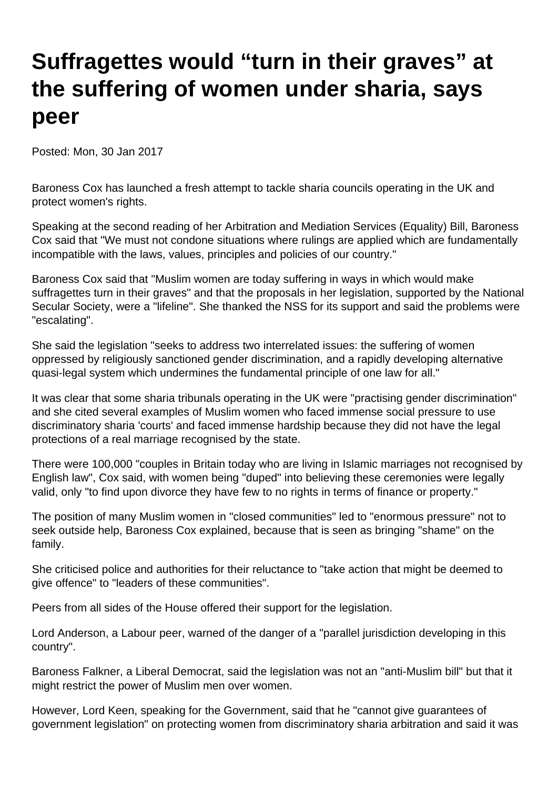## **Suffragettes would "turn in their graves" at the suffering of women under sharia, says peer**

Posted: Mon, 30 Jan 2017

Baroness Cox has launched a fresh attempt to tackle sharia councils operating in the UK and protect women's rights.

Speaking at the second reading of her Arbitration and Mediation Services (Equality) Bill, Baroness Cox said that "We must not condone situations where rulings are applied which are fundamentally incompatible with the laws, values, principles and policies of our country."

Baroness Cox said that "Muslim women are today suffering in ways in which would make suffragettes turn in their graves" and that the proposals in her legislation, supported by the National Secular Society, were a "lifeline". She thanked the NSS for its support and said the problems were "escalating".

She said the legislation "seeks to address two interrelated issues: the suffering of women oppressed by religiously sanctioned gender discrimination, and a rapidly developing alternative quasi-legal system which undermines the fundamental principle of one law for all."

It was clear that some sharia tribunals operating in the UK were "practising gender discrimination" and she cited several examples of Muslim women who faced immense social pressure to use discriminatory sharia 'courts' and faced immense hardship because they did not have the legal protections of a real marriage recognised by the state.

There were 100,000 "couples in Britain today who are living in Islamic marriages not recognised by English law", Cox said, with women being "duped" into believing these ceremonies were legally valid, only "to find upon divorce they have few to no rights in terms of finance or property."

The position of many Muslim women in "closed communities" led to "enormous pressure" not to seek outside help, Baroness Cox explained, because that is seen as bringing "shame" on the family.

She criticised police and authorities for their reluctance to "take action that might be deemed to give offence" to "leaders of these communities".

Peers from all sides of the House offered their support for the legislation.

Lord Anderson, a Labour peer, warned of the danger of a "parallel jurisdiction developing in this country".

Baroness Falkner, a Liberal Democrat, said the legislation was not an "anti-Muslim bill" but that it might restrict the power of Muslim men over women.

However, Lord Keen, speaking for the Government, said that he "cannot give guarantees of government legislation" on protecting women from discriminatory sharia arbitration and said it was